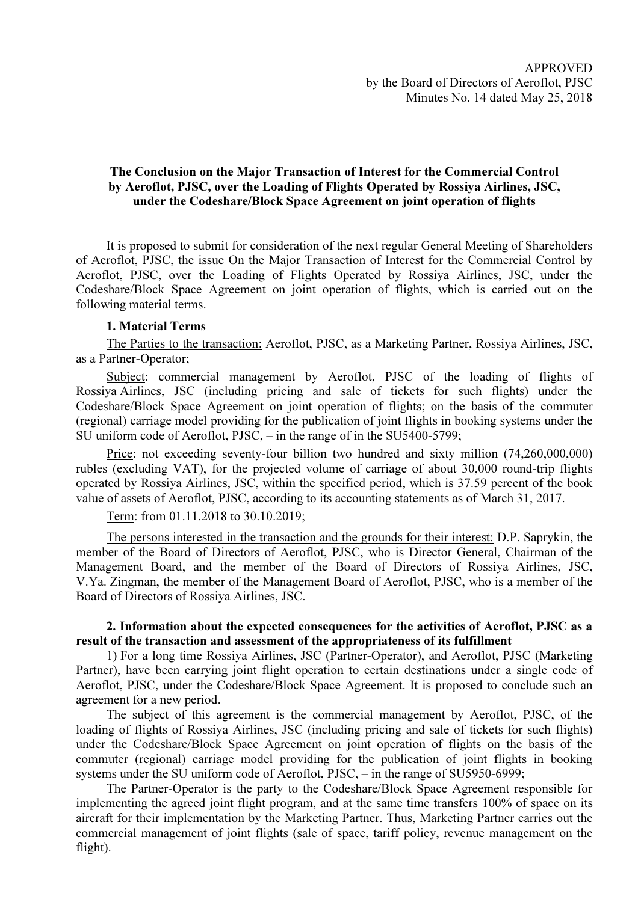## The Conclusion on the Major Transaction of Interest for the Commercial Control by Aeroflot, PJSC, over the Loading of Flights Operated by Rossiya Airlines, JSC, under the Codeshare/Block Space Agreement on joint operation of flights

It is proposed to submit for consideration of the next regular General Meeting of Shareholders of Aeroflot, PJSC, the issue On the Major Transaction of Interest for the Commercial Control by Aeroflot, PJSC, over the Loading of Flights Operated by Rossiya Airlines, JSC, under the Codeshare/Block Space Agreement on joint operation of flights, which is carried out on the following material terms.

## 1. Material Terms

The Parties to the transaction: Aeroflot, PJSC, as a Marketing Partner, Rossiya Airlines, JSC, as a Partner-Operator;

Subject: commercial management by Aeroflot, PJSC of the loading of flights of Rossiya Airlines, JSC (including pricing and sale of tickets for such flights) under the Codeshare/Block Space Agreement on joint operation of flights; on the basis of the commuter (regional) carriage model providing for the publication of joint flights in booking systems under the SU uniform code of Aeroflot, PJSC, – in the range of in the SU5400-5799;

Price: not exceeding seventy-four billion two hundred and sixty million (74,260,000,000) rubles (excluding VAT), for the projected volume of carriage of about 30,000 round-trip flights operated by Rossiya Airlines, JSC, within the specified period, which is 37.59 percent of the book value of assets of Aeroflot, PJSC, according to its accounting statements as of March 31, 2017.

Term: from 01.11.2018 to 30.10.2019;

The persons interested in the transaction and the grounds for their interest: D.P. Saprykin, the member of the Board of Directors of Aeroflot, PJSC, who is Director General, Chairman of the Management Board, and the member of the Board of Directors of Rossiya Airlines, JSC, V.Ya. Zingman, the member of the Management Board of Aeroflot, PJSC, who is a member of the Board of Directors of Rossiya Airlines, JSC.

## 2. Information about the expected consequences for the activities of Aeroflot, PJSC as a result of the transaction and assessment of the appropriateness of its fulfillment

1) For a long time Rossiya Airlines, JSC (Partner-Operator), and Aeroflot, PJSC (Marketing Partner), have been carrying joint flight operation to certain destinations under a single code of Aeroflot, PJSC, under the Codeshare/Block Space Agreement. It is proposed to conclude such an agreement for a new period.

The subject of this agreement is the commercial management by Aeroflot, PJSC, of the loading of flights of Rossiya Airlines, JSC (including pricing and sale of tickets for such flights) under the Codeshare/Block Space Agreement on joint operation of flights on the basis of the commuter (regional) carriage model providing for the publication of joint flights in booking systems under the SU uniform code of Aeroflot, PJSC, – in the range of SU5950-6999;

The Partner-Operator is the party to the Codeshare/Block Space Agreement responsible for implementing the agreed joint flight program, and at the same time transfers 100% of space on its aircraft for their implementation by the Marketing Partner. Thus, Marketing Partner carries out the commercial management of joint flights (sale of space, tariff policy, revenue management on the flight).